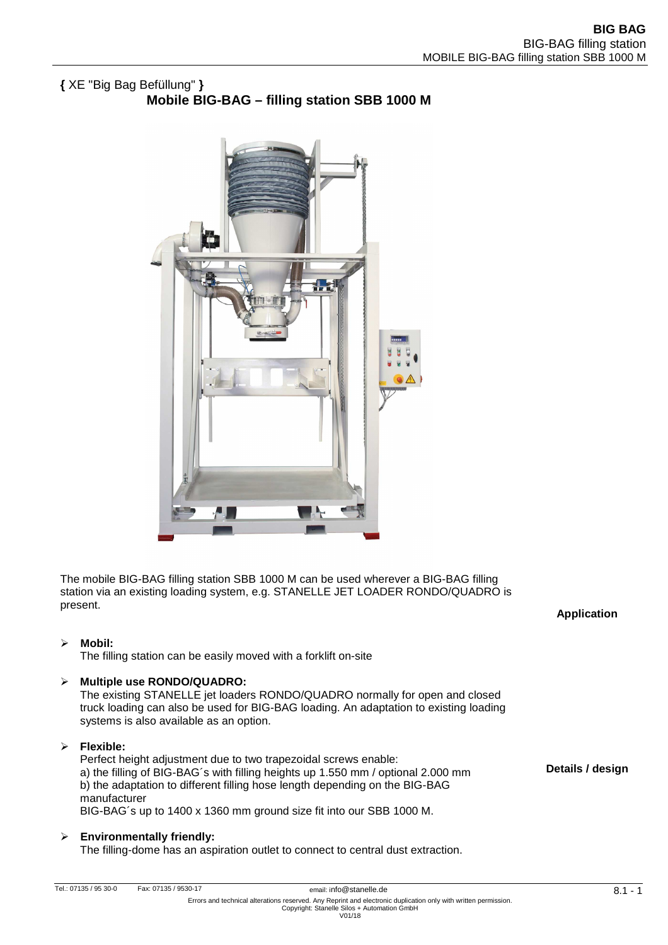# **{** XE "Big Bag Befüllung" **} Mobile BIG-BAG – filling station SBB 1000 M**



The mobile BIG-BAG filling station SBB 1000 M can be used wherever a BIG-BAG filling station via an existing loading system, e.g. STANELLE JET LOADER RONDO/QUADRO is present.

## **Mobil:**

The filling station can be easily moved with a forklift on-site

## **Multiple use RONDO/QUADRO:**

The existing STANELLE jet loaders RONDO/QUADRO normally for open and closed truck loading can also be used for BIG-BAG loading. An adaptation to existing loading systems is also available as an option.

#### **Flexible:**

Perfect height adjustment due to two trapezoidal screws enable: a) the filling of BIG-BAG´s with filling heights up 1.550 mm / optional 2.000 mm b) the adaptation to different filling hose length depending on the BIG-BAG manufacturer BIG-BAG´s up to 1400 x 1360 mm ground size fit into our SBB 1000 M.

# **Environmentally friendly:**

The filling-dome has an aspiration outlet to connect to central dust extraction.

**Application** 

**Details / design**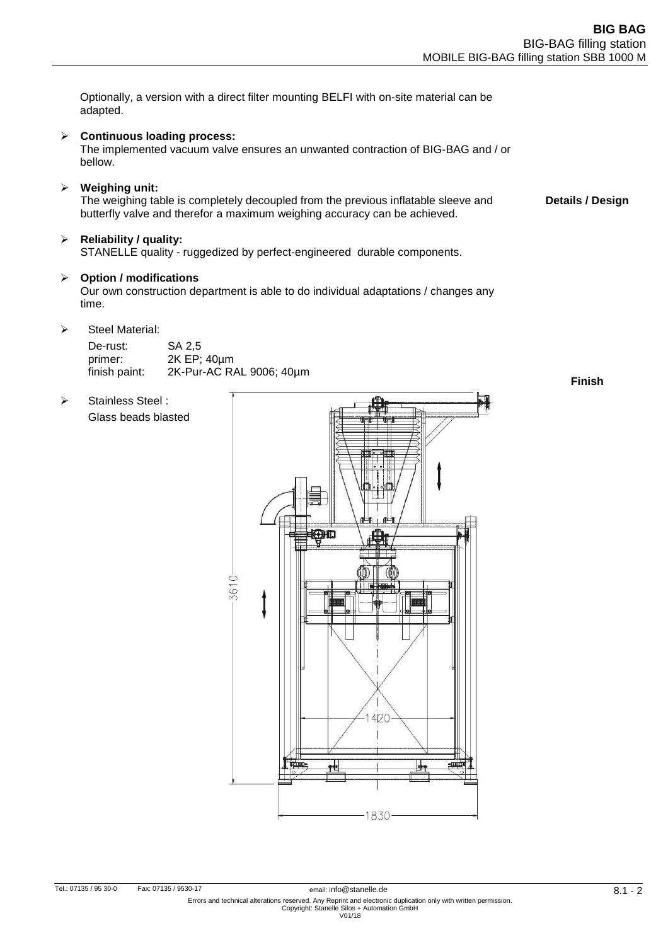Optionally, a version with a direct filter mounting BELFI with on-site material can be adapted.

## **Continuous loading process:**

The implemented vacuum valve ensures an unwanted contraction of BIG-BAG and / or bellow.

**Weighing unit:** 

The weighing table is completely decoupled from the previous inflatable sleeve and butterfly valve and therefor a maximum weighing accuracy can be achieved. **Details / Design** 

## **Reliability / quality:**

STANELLE quality - ruggedized by perfect-engineered durable components.

#### **Option / modifications**

Our own construction department is able to do individual adaptations / changes any time.

 $\triangleright$  Steel Material:

> Stainless Steel :

Glass beads blasted

| De-rust:      | SA 2.5                   |
|---------------|--------------------------|
| primer:       | 2K EP; 40um              |
| finish paint: | 2K-Pur-AC RAL 9006; 40um |

**Finish**